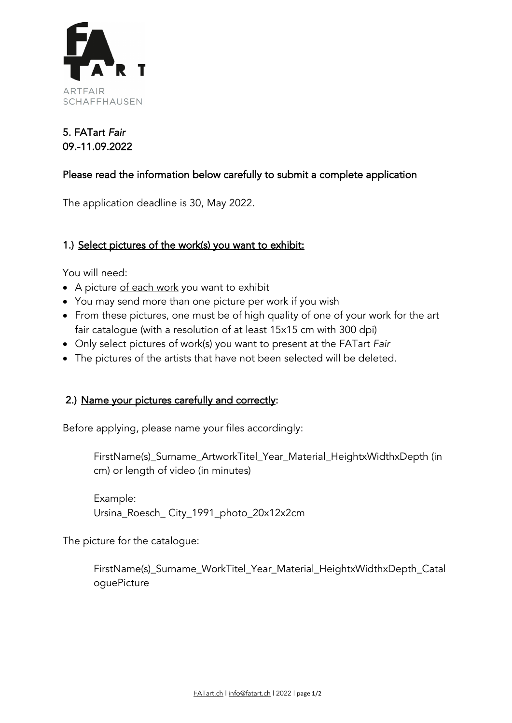

## 5. FATart *Fair*  09.-11.09.2022

### Please read the information below carefully to submit a complete application

The application deadline is 30, May 2022.

#### 1.) Select pictures of the work(s) you want to exhibit:

You will need:

- A picture of each work you want to exhibit
- You may send more than one picture per work if you wish
- From these pictures, one must be of high quality of one of your work for the art fair catalogue (with a resolution of at least 15x15 cm with 300 dpi)
- Only select pictures of work(s) you want to present at the FATart *Fair*
- The pictures of the artists that have not been selected will be deleted.

#### 2.) Name your pictures carefully and correctly:

Before applying, please name your files accordingly:

FirstName(s)\_Surname\_ArtworkTitel\_Year\_Material\_HeightxWidthxDepth (in cm) or length of video (in minutes)

Example: Ursina\_Roesch\_ City\_1991\_photo\_20x12x2cm

The picture for the catalogue:

FirstName(s) Surname WorkTitel Year Material HeightxWidthxDepth Catal oguePicture